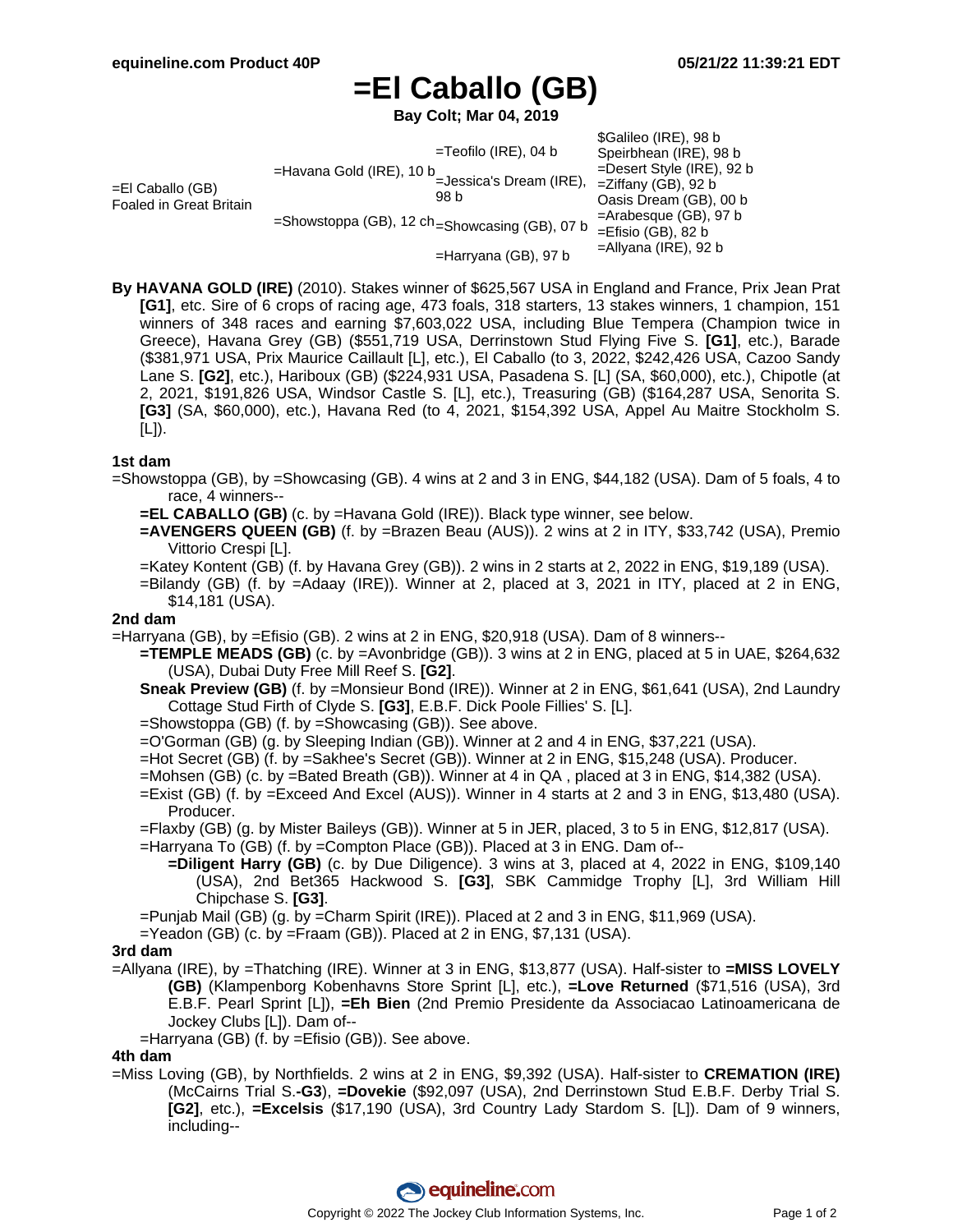# **=El Caballo (GB)**

**Bay Colt; Mar 04, 2019**

| $=$ El Caballo (GB)<br><b>Foaled in Great Britain</b> | $=$ Teofilo (IRE), 04 b                                                                                                                                            | \$Galileo (IRE), 98 b<br>Speirbhean (IRE), 98 b        |
|-------------------------------------------------------|--------------------------------------------------------------------------------------------------------------------------------------------------------------------|--------------------------------------------------------|
|                                                       | $=$ Havana Gold (IRE), 10 b<br>=Jessica's Dream (IRE),<br>98 b<br>=Showstoppa (GB), 12 ch = Showcasing (GB), 07 b<br>=Efisio (GB), 82 b<br>$=$ Harryana (GB), 97 b | $=$ Desert Style (IRE), 92 b<br>$=$ Ziffany (GB), 92 b |
|                                                       |                                                                                                                                                                    | Oasis Dream (GB), 00 b<br>$=$ Arabesque (GB), 97 b     |
|                                                       |                                                                                                                                                                    | $=$ Allyana (IRE), 92 b                                |

**By HAVANA GOLD (IRE)** (2010). Stakes winner of \$625,567 USA in England and France, Prix Jean Prat **[G1]**, etc. Sire of 6 crops of racing age, 473 foals, 318 starters, 13 stakes winners, 1 champion, 151 winners of 348 races and earning \$7,603,022 USA, including Blue Tempera (Champion twice in Greece), Havana Grey (GB) (\$551,719 USA, Derrinstown Stud Flying Five S. **[G1]**, etc.), Barade (\$381,971 USA, Prix Maurice Caillault [L], etc.), El Caballo (to 3, 2022, \$242,426 USA, Cazoo Sandy Lane S. **[G2]**, etc.), Hariboux (GB) (\$224,931 USA, Pasadena S. [L] (SA, \$60,000), etc.), Chipotle (at 2, 2021, \$191,826 USA, Windsor Castle S. [L], etc.), Treasuring (GB) (\$164,287 USA, Senorita S. **[G3]** (SA, \$60,000), etc.), Havana Red (to 4, 2021, \$154,392 USA, Appel Au Maitre Stockholm S. [L]).

#### **1st dam**

- =Showstoppa (GB), by =Showcasing (GB). 4 wins at 2 and 3 in ENG, \$44,182 (USA). Dam of 5 foals, 4 to race, 4 winners--
	- **=EL CABALLO (GB)** (c. by =Havana Gold (IRE)). Black type winner, see below.
	- **=AVENGERS QUEEN (GB)** (f. by =Brazen Beau (AUS)). 2 wins at 2 in ITY, \$33,742 (USA), Premio Vittorio Crespi [L].
	- =Katey Kontent (GB) (f. by Havana Grey (GB)). 2 wins in 2 starts at 2, 2022 in ENG, \$19,189 (USA).
	- =Bilandy (GB) (f. by =Adaay (IRE)). Winner at 2, placed at 3, 2021 in ITY, placed at 2 in ENG, \$14,181 (USA).

#### **2nd dam**

- =Harryana (GB), by =Efisio (GB). 2 wins at 2 in ENG, \$20,918 (USA). Dam of 8 winners--
	- **=TEMPLE MEADS (GB)** (c. by =Avonbridge (GB)). 3 wins at 2 in ENG, placed at 5 in UAE, \$264,632 (USA), Dubai Duty Free Mill Reef S. **[G2]**.
	- **Sneak Preview (GB)** (f. by =Monsieur Bond (IRE)). Winner at 2 in ENG, \$61,641 (USA), 2nd Laundry Cottage Stud Firth of Clyde S. **[G3]**, E.B.F. Dick Poole Fillies' S. [L].
	- =Showstoppa (GB) (f. by =Showcasing (GB)). See above.
	- =O'Gorman (GB) (g. by Sleeping Indian (GB)). Winner at 2 and 4 in ENG, \$37,221 (USA).
	- =Hot Secret (GB) (f. by =Sakhee's Secret (GB)). Winner at 2 in ENG, \$15,248 (USA). Producer.
	- =Mohsen (GB) (c. by =Bated Breath (GB)). Winner at 4 in QA , placed at 3 in ENG, \$14,382 (USA).
	- =Exist (GB) (f. by =Exceed And Excel (AUS)). Winner in 4 starts at 2 and 3 in ENG, \$13,480 (USA). Producer.
	- =Flaxby (GB) (g. by Mister Baileys (GB)). Winner at 5 in JER, placed, 3 to 5 in ENG, \$12,817 (USA).
	- =Harryana To (GB) (f. by =Compton Place (GB)). Placed at 3 in ENG. Dam of--
		- **=Diligent Harry (GB)** (c. by Due Diligence). 3 wins at 3, placed at 4, 2022 in ENG, \$109,140 (USA), 2nd Bet365 Hackwood S. **[G3]**, SBK Cammidge Trophy [L], 3rd William Hill Chipchase S. **[G3]**.
	- =Punjab Mail (GB) (g. by =Charm Spirit (IRE)). Placed at 2 and 3 in ENG, \$11,969 (USA).
	- =Yeadon (GB) (c. by =Fraam (GB)). Placed at 2 in ENG, \$7,131 (USA).

#### **3rd dam**

- =Allyana (IRE), by =Thatching (IRE). Winner at 3 in ENG, \$13,877 (USA). Half-sister to **=MISS LOVELY (GB)** (Klampenborg Kobenhavns Store Sprint [L], etc.), **=Love Returned** (\$71,516 (USA), 3rd E.B.F. Pearl Sprint [L]), **=Eh Bien** (2nd Premio Presidente da Associacao Latinoamericana de Jockey Clubs [L]). Dam of--
	- =Harryana (GB) (f. by =Efisio (GB)). See above.

### **4th dam**

=Miss Loving (GB), by Northfields. 2 wins at 2 in ENG, \$9,392 (USA). Half-sister to **CREMATION (IRE)** (McCairns Trial S.**-G3**), **=Dovekie** (\$92,097 (USA), 2nd Derrinstown Stud E.B.F. Derby Trial S. **[G2]**, etc.), **=Excelsis** (\$17,190 (USA), 3rd Country Lady Stardom S. [L]). Dam of 9 winners, including--